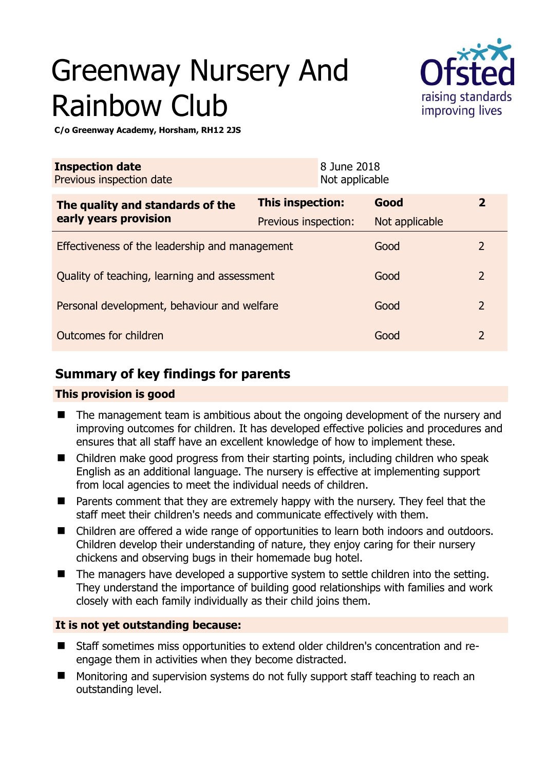# Greenway Nursery And Rainbow Club



**C/o Greenway Academy, Horsham, RH12 2JS** 

| <b>Inspection date</b><br>Previous inspection date        |                      | 8 June 2018<br>Not applicable |                |                |
|-----------------------------------------------------------|----------------------|-------------------------------|----------------|----------------|
| The quality and standards of the<br>early years provision | This inspection:     |                               | Good           | $\overline{2}$ |
|                                                           | Previous inspection: |                               | Not applicable |                |
| Effectiveness of the leadership and management            |                      |                               | Good           | $\overline{2}$ |
| Quality of teaching, learning and assessment              |                      |                               | Good           | $\overline{2}$ |
| Personal development, behaviour and welfare               |                      |                               | Good           | $\overline{2}$ |
| Outcomes for children                                     |                      |                               | Good           | $\overline{2}$ |

## **Summary of key findings for parents**

## **This provision is good**

- The management team is ambitious about the ongoing development of the nursery and improving outcomes for children. It has developed effective policies and procedures and ensures that all staff have an excellent knowledge of how to implement these.
- Children make good progress from their starting points, including children who speak English as an additional language. The nursery is effective at implementing support from local agencies to meet the individual needs of children.
- **Parents comment that they are extremely happy with the nursery. They feel that the** staff meet their children's needs and communicate effectively with them.
- Children are offered a wide range of opportunities to learn both indoors and outdoors. Children develop their understanding of nature, they enjoy caring for their nursery chickens and observing bugs in their homemade bug hotel.
- The managers have developed a supportive system to settle children into the setting. They understand the importance of building good relationships with families and work closely with each family individually as their child joins them.

## **It is not yet outstanding because:**

- Staff sometimes miss opportunities to extend older children's concentration and reengage them in activities when they become distracted.
- Monitoring and supervision systems do not fully support staff teaching to reach an outstanding level.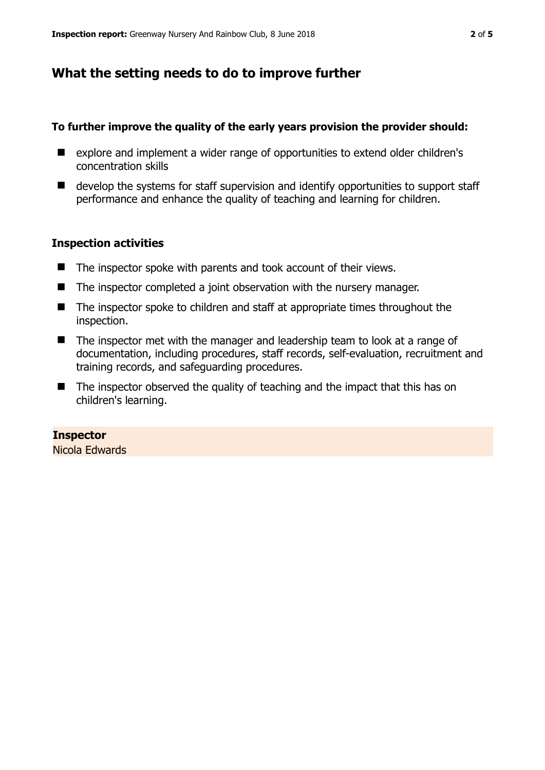## **What the setting needs to do to improve further**

#### **To further improve the quality of the early years provision the provider should:**

- explore and implement a wider range of opportunities to extend older children's concentration skills
- develop the systems for staff supervision and identify opportunities to support staff performance and enhance the quality of teaching and learning for children.

#### **Inspection activities**

- The inspector spoke with parents and took account of their views.
- The inspector completed a joint observation with the nursery manager.
- The inspector spoke to children and staff at appropriate times throughout the inspection.
- The inspector met with the manager and leadership team to look at a range of documentation, including procedures, staff records, self-evaluation, recruitment and training records, and safeguarding procedures.
- $\blacksquare$  The inspector observed the quality of teaching and the impact that this has on children's learning.

**Inspector**  Nicola Edwards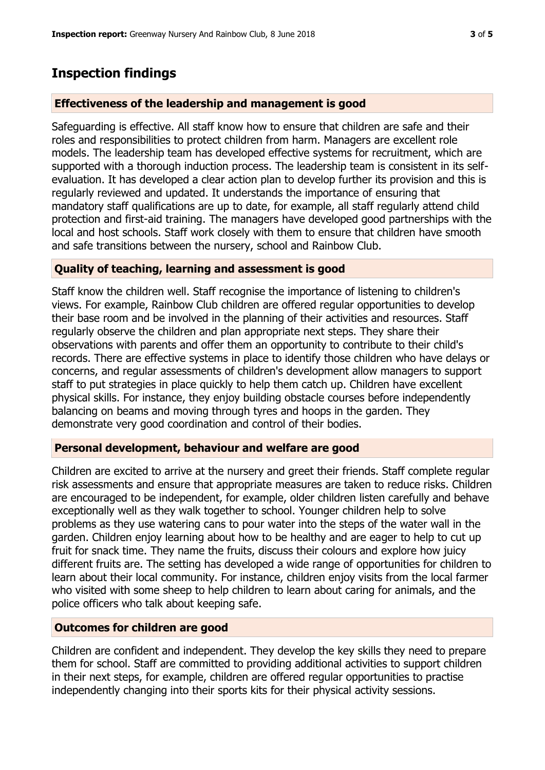## **Inspection findings**

### **Effectiveness of the leadership and management is good**

Safeguarding is effective. All staff know how to ensure that children are safe and their roles and responsibilities to protect children from harm. Managers are excellent role models. The leadership team has developed effective systems for recruitment, which are supported with a thorough induction process. The leadership team is consistent in its selfevaluation. It has developed a clear action plan to develop further its provision and this is regularly reviewed and updated. It understands the importance of ensuring that mandatory staff qualifications are up to date, for example, all staff regularly attend child protection and first-aid training. The managers have developed good partnerships with the local and host schools. Staff work closely with them to ensure that children have smooth and safe transitions between the nursery, school and Rainbow Club.

#### **Quality of teaching, learning and assessment is good**

Staff know the children well. Staff recognise the importance of listening to children's views. For example, Rainbow Club children are offered regular opportunities to develop their base room and be involved in the planning of their activities and resources. Staff regularly observe the children and plan appropriate next steps. They share their observations with parents and offer them an opportunity to contribute to their child's records. There are effective systems in place to identify those children who have delays or concerns, and regular assessments of children's development allow managers to support staff to put strategies in place quickly to help them catch up. Children have excellent physical skills. For instance, they enjoy building obstacle courses before independently balancing on beams and moving through tyres and hoops in the garden. They demonstrate very good coordination and control of their bodies.

#### **Personal development, behaviour and welfare are good**

Children are excited to arrive at the nursery and greet their friends. Staff complete regular risk assessments and ensure that appropriate measures are taken to reduce risks. Children are encouraged to be independent, for example, older children listen carefully and behave exceptionally well as they walk together to school. Younger children help to solve problems as they use watering cans to pour water into the steps of the water wall in the garden. Children enjoy learning about how to be healthy and are eager to help to cut up fruit for snack time. They name the fruits, discuss their colours and explore how juicy different fruits are. The setting has developed a wide range of opportunities for children to learn about their local community. For instance, children enjoy visits from the local farmer who visited with some sheep to help children to learn about caring for animals, and the police officers who talk about keeping safe.

## **Outcomes for children are good**

Children are confident and independent. They develop the key skills they need to prepare them for school. Staff are committed to providing additional activities to support children in their next steps, for example, children are offered regular opportunities to practise independently changing into their sports kits for their physical activity sessions.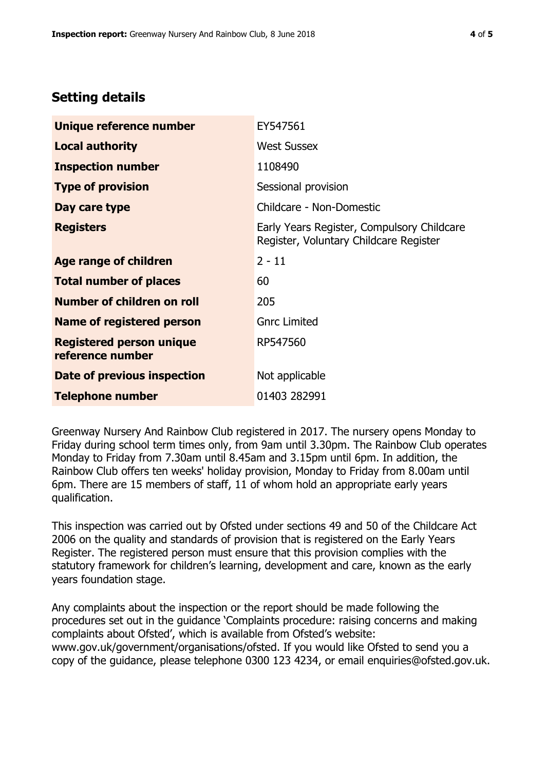## **Setting details**

| Unique reference number                             | EY547561                                                                             |  |
|-----------------------------------------------------|--------------------------------------------------------------------------------------|--|
| <b>Local authority</b>                              | <b>West Sussex</b>                                                                   |  |
| <b>Inspection number</b>                            | 1108490                                                                              |  |
| <b>Type of provision</b>                            | Sessional provision                                                                  |  |
| Day care type                                       | Childcare - Non-Domestic                                                             |  |
| <b>Registers</b>                                    | Early Years Register, Compulsory Childcare<br>Register, Voluntary Childcare Register |  |
| Age range of children                               | $2 - 11$                                                                             |  |
| <b>Total number of places</b>                       | 60                                                                                   |  |
| Number of children on roll                          | 205                                                                                  |  |
| Name of registered person                           | <b>Gnrc Limited</b>                                                                  |  |
| <b>Registered person unique</b><br>reference number | RP547560                                                                             |  |
| Date of previous inspection                         | Not applicable                                                                       |  |
| <b>Telephone number</b>                             | 01403 282991                                                                         |  |

Greenway Nursery And Rainbow Club registered in 2017. The nursery opens Monday to Friday during school term times only, from 9am until 3.30pm. The Rainbow Club operates Monday to Friday from 7.30am until 8.45am and 3.15pm until 6pm. In addition, the Rainbow Club offers ten weeks' holiday provision, Monday to Friday from 8.00am until 6pm. There are 15 members of staff, 11 of whom hold an appropriate early years qualification.

This inspection was carried out by Ofsted under sections 49 and 50 of the Childcare Act 2006 on the quality and standards of provision that is registered on the Early Years Register. The registered person must ensure that this provision complies with the statutory framework for children's learning, development and care, known as the early years foundation stage.

Any complaints about the inspection or the report should be made following the procedures set out in the guidance 'Complaints procedure: raising concerns and making complaints about Ofsted', which is available from Ofsted's website: www.gov.uk/government/organisations/ofsted. If you would like Ofsted to send you a copy of the guidance, please telephone 0300 123 4234, or email enquiries@ofsted.gov.uk.